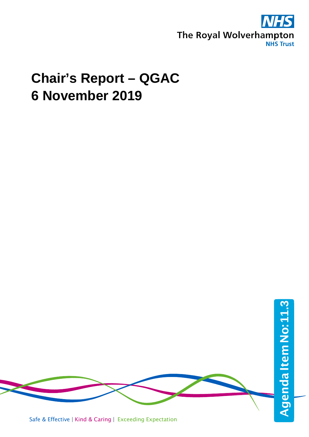

# **Chair's Report – QGAC 6 November 2019**

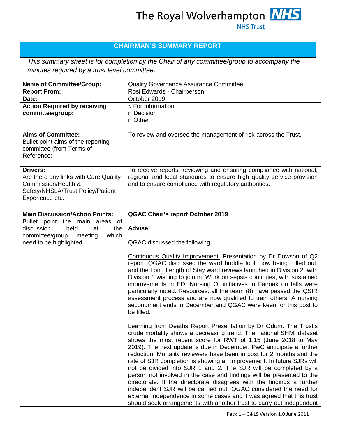### The Royal Wolverhampton **NHS NHS Trust**

#### **CHAIRMAN'S SUMMARY REPORT**

*This summary sheet is for completion by the Chair of any committee/group to accompany the minutes required by a trust level committee.*

| <b>Name of Committee/Group:</b>                                                                                                                                             | <b>Quality Governance Assurance Committee</b>                                                                                                                                                                                                                                                                                                                                                                                                                                                                                                                                                                                                                                                                                                                                                                                                                                |  |
|-----------------------------------------------------------------------------------------------------------------------------------------------------------------------------|------------------------------------------------------------------------------------------------------------------------------------------------------------------------------------------------------------------------------------------------------------------------------------------------------------------------------------------------------------------------------------------------------------------------------------------------------------------------------------------------------------------------------------------------------------------------------------------------------------------------------------------------------------------------------------------------------------------------------------------------------------------------------------------------------------------------------------------------------------------------------|--|
| <b>Report From:</b>                                                                                                                                                         | Rosi Edwards - Chairperson                                                                                                                                                                                                                                                                                                                                                                                                                                                                                                                                                                                                                                                                                                                                                                                                                                                   |  |
| Date:                                                                                                                                                                       | October 2019                                                                                                                                                                                                                                                                                                                                                                                                                                                                                                                                                                                                                                                                                                                                                                                                                                                                 |  |
| <b>Action Required by receiving</b><br>committee/group:                                                                                                                     | $\sqrt{\mathsf{F}}$ For Information<br>□ Decision<br>$\Box$ Other                                                                                                                                                                                                                                                                                                                                                                                                                                                                                                                                                                                                                                                                                                                                                                                                            |  |
|                                                                                                                                                                             |                                                                                                                                                                                                                                                                                                                                                                                                                                                                                                                                                                                                                                                                                                                                                                                                                                                                              |  |
| <b>Aims of Committee:</b><br>Bullet point aims of the reporting<br>committee (from Terms of<br>Reference)                                                                   | To review and oversee the management of risk across the Trust.                                                                                                                                                                                                                                                                                                                                                                                                                                                                                                                                                                                                                                                                                                                                                                                                               |  |
| <b>Drivers:</b><br>Are there any links with Care Quality<br>Commission/Health &<br>Safety/NHSLA/Trust Policy/Patient<br>Experience etc.                                     | To receive reports, reviewing and ensuring compliance with national,<br>regional and local standards to ensure high quality service provision<br>and to ensure compliance with regulatory authorities.                                                                                                                                                                                                                                                                                                                                                                                                                                                                                                                                                                                                                                                                       |  |
|                                                                                                                                                                             |                                                                                                                                                                                                                                                                                                                                                                                                                                                                                                                                                                                                                                                                                                                                                                                                                                                                              |  |
| <b>Main Discussion/Action Points:</b><br>Bullet point the main areas of<br>discussion<br>held<br>the<br>at<br>which<br>committee/group<br>meeting<br>need to be highlighted | <b>QGAC Chair's report October 2019</b><br><b>Advise</b><br>QGAC discussed the following:                                                                                                                                                                                                                                                                                                                                                                                                                                                                                                                                                                                                                                                                                                                                                                                    |  |
|                                                                                                                                                                             | Continuous Quality Improvement. Presentation by Dr Dowson of Q2<br>report. QGAC discussed the ward huddle tool, now being rolled out,<br>and the Long Length of Stay ward reviews launched in Division 2, with<br>Division 1 wishing to join in. Work on sepsis continues, with sustained<br>improvements in ED. Nursing QI initiatives in Fairoak on falls were<br>particularly noted. Resources: all the team (8) have passed the QSIR<br>assessment process and are now qualified to train others. A nursing<br>secondment ends in December and QGAC were keen for this post to<br>be filled.                                                                                                                                                                                                                                                                             |  |
|                                                                                                                                                                             | Learning from Deaths Report Presentation by Dr Odum. The Trust's<br>crude mortality shows a decreasing trend. The national SHMI dataset<br>shows the most recent score for RWT of 1.15 (June 2018 to May<br>2019). The next update is due in December. PwC anticipate a further<br>reduction. Mortality reviewers have been in post for 2 months and the<br>rate of SJR completion is showing an improvement. In future SJRs will<br>not be divided into SJR 1 and 2. The SJR will be completed by a<br>person not involved in the case and findings will be presented to the<br>directorate. If the directorate disagrees with the findings a further<br>independent SJR will be carried out. QGAC considered the need for<br>external independence in some cases and it was agreed that this trust<br>should seek arrangements with another trust to carry out independent |  |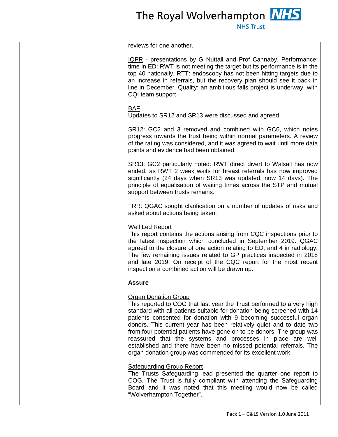| <b>NHS Trus</b> |  |
|-----------------|--|
|                 |  |

| reviews for one another.                                                                                                                                                                                                                                                                                                                                                                                                                                                                                                                                                                               |
|--------------------------------------------------------------------------------------------------------------------------------------------------------------------------------------------------------------------------------------------------------------------------------------------------------------------------------------------------------------------------------------------------------------------------------------------------------------------------------------------------------------------------------------------------------------------------------------------------------|
| IQPR - presentations by G Nuttall and Prof Cannaby. Performance:<br>time in ED: RWT is not meeting the target but its performance is in the<br>top 40 nationally. RTT: endoscopy has not been hitting targets due to<br>an increase in referrals, but the recovery plan should see it back in<br>line in December. Quality: an ambitious falls project is underway, with<br>CQI team support.                                                                                                                                                                                                          |
| <b>BAF</b><br>Updates to SR12 and SR13 were discussed and agreed.                                                                                                                                                                                                                                                                                                                                                                                                                                                                                                                                      |
| SR12: GC2 and 3 removed and combined with GC6, which notes<br>progress towards the trust being within normal parameters. A review<br>of the rating was considered, and it was agreed to wait until more data<br>points and evidence had been obtained.                                                                                                                                                                                                                                                                                                                                                 |
| SR13: GC2 particularly noted: RWT direct divert to Walsall has now<br>ended, as RWT 2 week waits for breast referrals has now improved<br>significantly (24 days when SR13 was updated, now 14 days). The<br>principle of equalisation of waiting times across the STP and mutual<br>support between trusts remains.                                                                                                                                                                                                                                                                                   |
| TRR: QGAC sought clarification on a number of updates of risks and<br>asked about actions being taken.                                                                                                                                                                                                                                                                                                                                                                                                                                                                                                 |
| <b>Well Led Report</b><br>This report contains the actions arising from CQC inspections prior to<br>the latest inspection which concluded in September 2019. QGAC<br>agreed to the closure of one action relating to ED, and 4 in radiology.<br>The few remaining issues related to GP practices inspected in 2018<br>and late 2019. On receipt of the CQC report for the most recent<br>inspection a combined action will be drawn up.                                                                                                                                                                |
| <b>Assure</b>                                                                                                                                                                                                                                                                                                                                                                                                                                                                                                                                                                                          |
| <b>Organ Donation Group</b><br>This reported to COG that last year the Trust performed to a very high<br>standard with all patients suitable for donation being screened with 14<br>patients consented for donation with 9 becoming successful organ<br>donors. This current year has been relatively quiet and to date two<br>from four potential patients have gone on to be donors. The group was<br>reassured that the systems and processes in place are well<br>established and there have been no missed potential referrals. The<br>organ donation group was commended for its excellent work. |
| <b>Safeguarding Group Report</b><br>The Trusts Safeguarding lead presented the quarter one report to<br>COG. The Trust is fully compliant with attending the Safeguarding<br>Board and it was noted that this meeting would now be called<br>"Wolverhampton Together".                                                                                                                                                                                                                                                                                                                                 |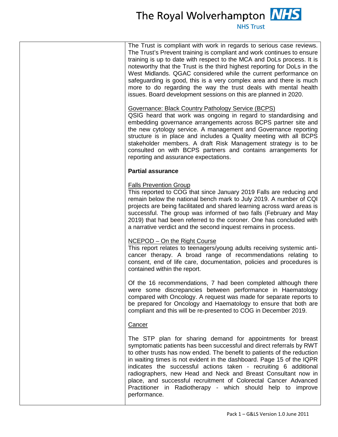## The Royal Wolverhampton **NHS**

**NHS Trust** 

The Trust is compliant with work in regards to serious case reviews. The Trust's Prevent training is compliant and work continues to ensure training is up to date with respect to the MCA and DoLs process. It is noteworthy that the Trust is the third highest reporting for DoLs in the West Midlands. QGAC considered while the current performance on safeguarding is good, this is a very complex area and there is much more to do regarding the way the trust deals with mental health issues. Board development sessions on this are planned in 2020.

#### Governance: Black Country Pathology Service (BCPS)

QSIG heard that work was ongoing in regard to standardising and embedding governance arrangements across BCPS partner site and the new cytology service. A management and Governance reporting structure is in place and includes a Quality meeting with all BCPS stakeholder members. A draft Risk Management strategy is to be consulted on with BCPS partners and contains arrangements for reporting and assurance expectations.

#### **Partial assurance**

#### Falls Prevention Group

This reported to COG that since January 2019 Falls are reducing and remain below the national bench mark to July 2019. A number of CQI projects are being facilitated and shared learning across ward areas is successful. The group was informed of two falls (February and May 2019) that had been referred to the coroner. One has concluded with a narrative verdict and the second inquest remains in process.

#### NCEPOD – On the Right Course

This report relates to teenagers/young adults receiving systemic anticancer therapy. A broad range of recommendations relating to consent, end of life care, documentation, policies and procedures is contained within the report.

Of the 16 recommendations, 7 had been completed although there were some discrepancies between performance in Haematology compared with Oncology. A request was made for separate reports to be prepared for Oncology and Haematology to ensure that both are compliant and this will be re-presented to COG in December 2019.

#### **Cancer**

The STP plan for sharing demand for appointments for breast symptomatic patients has been successful and direct referrals by RWT to other trusts has now ended. The benefit to patients of the reduction in waiting times is not evident in the dashboard. Page 15 of the IQPR indicates the successful actions taken - recruiting 6 additional radiographers, new Head and Neck and Breast Consultant now in place, and successful recruitment of Colorectal Cancer Advanced Practitioner in Radiotherapy - which should help to improve performance.